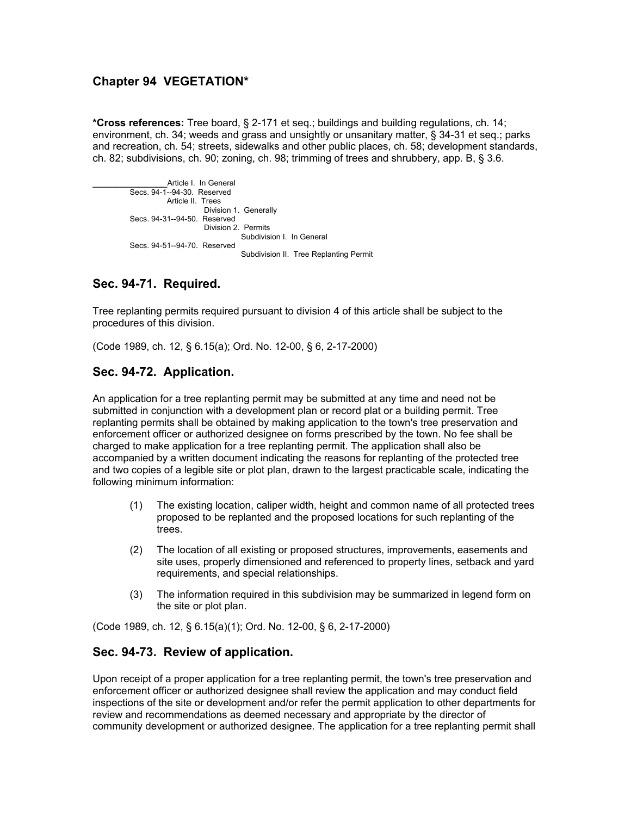# **Chapter 94 VEGETATION\***

**\*Cross references:** Tree board, § 2-171 et seq.; buildings and building regulations, ch. 14; environment, ch. 34; weeds and grass and unsightly or unsanitary matter, § 34-31 et seq.; parks and recreation, ch. 54; streets, sidewalks and other public places, ch. 58; development standards, ch. 82; subdivisions, ch. 90; zoning, ch. 98; trimming of trees and shrubbery, app. B, § 3.6.

Article I. In General Secs. 94-1--94-30. Reserved Article II. T rees Division 1. Generally Secs. 94-31--94-50. Reserved Division 2. Permits Subdivision I. In General Secs. 94-51--94-70. Reserved Subdivision II. Tree Replanting Permit

# **Sec. 94-71. Required.**

Tree replanting permits required pursuant to division 4 of this article shall be subject to the procedures of this division.

(Code 1989, ch. 12, § 6.15(a); Ord. No. 12-00, § 6, 2-17-2000)

## **Sec. 94-72. Application.**

An application for a tree replanting permit may be submitted at any time and need not be submitted in conjunction with a development plan or record plat or a building permit. Tree replanting permits shall be obtained by making application to the town's tree preservation and enforcement officer or authorized designee on forms prescribed by the town. No fee shall be charged to make application for a tree replanting permit. The application shall also be accompanied by a written document indicating the reasons for replanting of the protected tree and two copies of a legible site or plot plan, drawn to the largest practicable scale, indicating the following minimum information:

- (1) The existing location, caliper width, height and common name of all protected trees proposed to be replanted and the proposed locations for such replanting of the trees.
- (2) The location of all existing or proposed structures, improvements, easements and site uses, properly dimensioned and referenced to property lines, setback and yard requirements, and special relationships.
- (3) The information required in this subdivision may be summarized in legend form on the site or plot plan.

(Code 1989, ch. 12, § 6.15(a)(1); Ord. No. 12-00, § 6, 2-17-2000)

### **Sec. 94-73. Review of application.**

Upon receipt of a proper application for a tree replanting permit, the town's tree preservation and enforcement officer or authorized designee shall review the application and may conduct field inspections of the site or development and/or refer the permit application to other departments for review and recommendations as deemed necessary and appropriate by the director of community development or authorized designee. The application for a tree replanting permit shall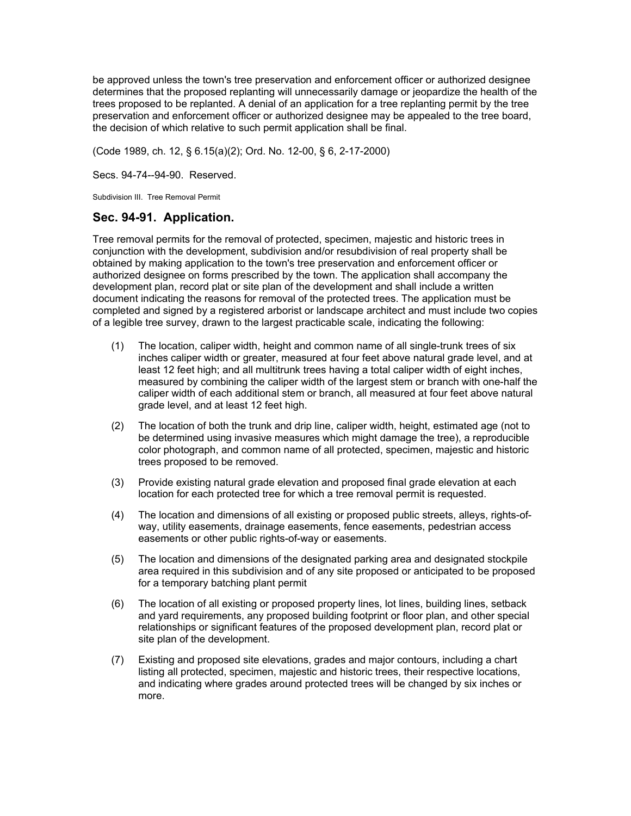be approved unless the town's tree preservation and enforcement officer or authorized designee determines that the proposed replanting will unnecessarily damage or jeopardize the health of the trees proposed to be replanted. A denial of an application for a tree replanting permit by the tree preservation and enforcement officer or authorized designee may be appealed to the tree board, the decision of which relative to such permit application shall be final.

(Code 1989, ch. 12, § 6.15(a)(2); Ord. No. 12-00, § 6, 2-17-2000)

Secs. 94-74--94-90. Reserved.

Subdivision III. Tree Removal Permit

### **Sec. 94-91. Application.**

Tree removal permits for the removal of protected, specimen, majestic and historic trees in conjunction with the development, subdivision and/or resubdivision of real property shall be obtained by making application to the town's tree preservation and enforcement officer or authorized designee on forms prescribed by the town. The application shall accompany the development plan, record plat or site plan of the development and shall include a written document indicating the reasons for removal of the protected trees. The application must be completed and signed by a registered arborist or landscape architect and must include two copies of a legible tree survey, drawn to the largest practicable scale, indicating the following:

- (1) The location, caliper width, height and common name of all single-trunk trees of six inches caliper width or greater, measured at four feet above natural grade level, and at least 12 feet high; and all multitrunk trees having a total caliper width of eight inches, measured by combining the caliper width of the largest stem or branch with one-half the caliper width of each additional stem or branch, all measured at four feet above natural grade level, and at least 12 feet high.
- (2) The location of both the trunk and drip line, caliper width, height, estimated age (not to be determined using invasive measures which might damage the tree), a reproducible color photograph, and common name of all protected, specimen, majestic and historic trees proposed to be removed.
- (3) Provide existing natural grade elevation and proposed final grade elevation at each location for each protected tree for which a tree removal permit is requested.
- (4) The location and dimensions of all existing or proposed public streets, alleys, rights-ofway, utility easements, drainage easements, fence easements, pedestrian access easements or other public rights-of-way or easements.
- (5) The location and dimensions of the designated parking area and designated stockpile area required in this subdivision and of any site proposed or anticipated to be proposed for a temporary batching plant permit
- (6) The location of all existing or proposed property lines, lot lines, building lines, setback and yard requirements, any proposed building footprint or floor plan, and other special relationships or significant features of the proposed development plan, record plat or site plan of the development.
- (7) Existing and proposed site elevations, grades and major contours, including a chart listing all protected, specimen, majestic and historic trees, their respective locations, and indicating where grades around protected trees will be changed by six inches or more.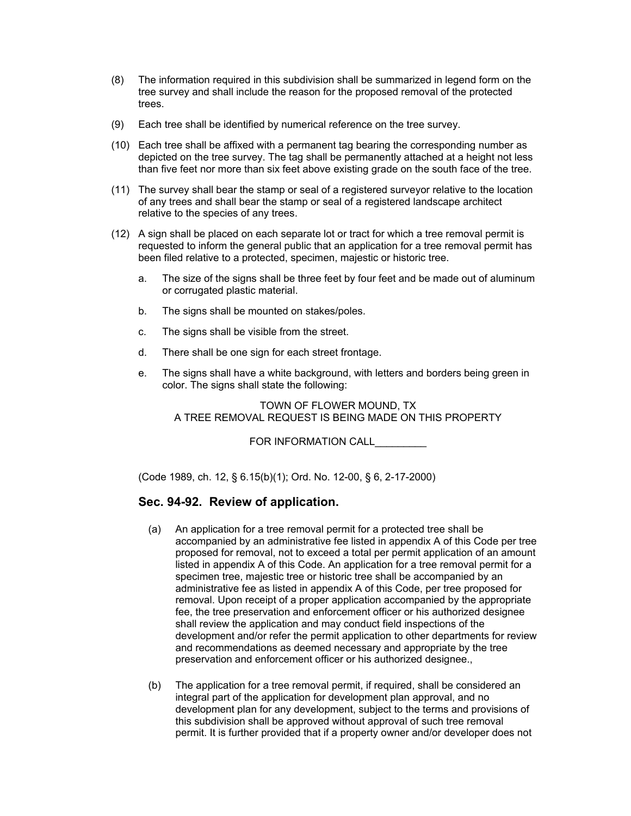- (8) The information required in this subdivision shall be summarized in legend form on the tree survey and shall include the reason for the proposed removal of the protected trees.
- (9) Each tree shall be identified by numerical reference on the tree survey.
- (10) Each tree shall be affixed with a permanent tag bearing the corresponding number as depicted on the tree survey. The tag shall be permanently attached at a height not less than five feet nor more than six feet above existing grade on the south face of the tree.
- (11) The survey shall bear the stamp or seal of a registered surveyor relative to the location of any trees and shall bear the stamp or seal of a registered landscape architect relative to the species of any trees.
- (12) A sign shall be placed on each separate lot or tract for which a tree removal permit is requested to inform the general public that an application for a tree removal permit has been filed relative to a protected, specimen, majestic or historic tree.
	- a. The size of the signs shall be three feet by four feet and be made out of aluminum or corrugated plastic material.
	- b. The signs shall be mounted on stakes/poles.
	- c. The signs shall be visible from the street.
	- d. There shall be one sign for each street frontage.
	- e. The signs shall have a white background, with letters and borders being green in color. The signs shall state the following:

TOWN OF FLOWER MOUND, TX A TREE REMOVAL REQUEST IS BEING MADE ON THIS PROPERTY

FOR INFORMATION CALL

(Code 1989, ch. 12, § 6.15(b)(1); Ord. No. 12-00, § 6, 2-17-2000)

# **Sec. 94-92. Review of application.**

- (a) An application for a tree removal permit for a protected tree shall be accompanied by an administrative fee listed in appendix A of this Code per tree proposed for removal, not to exceed a total per permit application of an amount listed in appendix A of this Code. An application for a tree removal permit for a specimen tree, majestic tree or historic tree shall be accompanied by an administrative fee as listed in appendix A of this Code, per tree proposed for removal. Upon receipt of a proper application accompanied by the appropriate fee, the tree preservation and enforcement officer or his authorized designee shall review the application and may conduct field inspections of the development and/or refer the permit application to other departments for review and recommendations as deemed necessary and appropriate by the tree preservation and enforcement officer or his authorized designee.,
- (b) The application for a tree removal permit, if required, shall be considered an integral part of the application for development plan approval, and no development plan for any development, subject to the terms and provisions of this subdivision shall be approved without approval of such tree removal permit. It is further provided that if a property owner and/or developer does not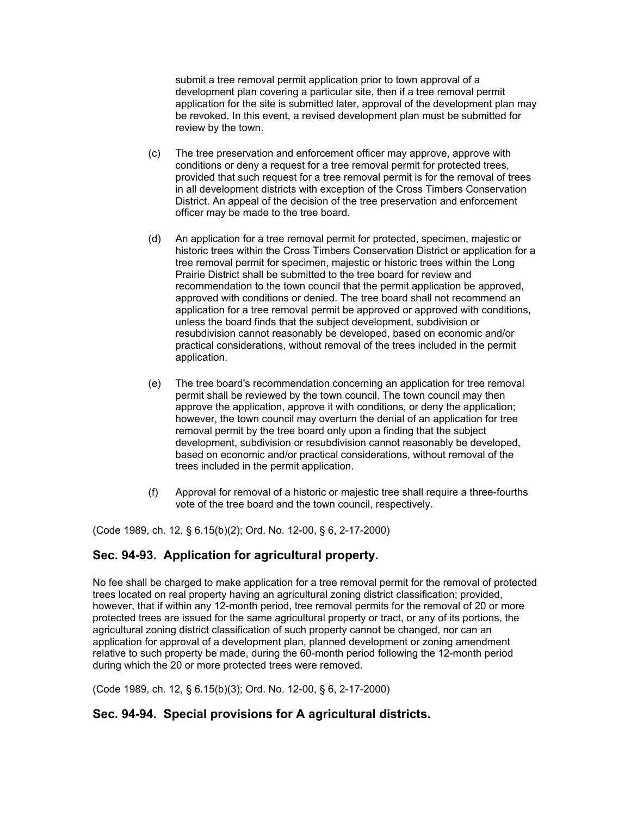submit a tree removal permit application prior to town approval of a development plan covering a particular site, then if a tree removal permit application for the site is submitted later, approval of the development plan may be revoked. In this event, a revised development plan must be submitted for review by the town.

- (c) The tree preservation and enforcement officer may approve, approve with conditions or deny a request for a tree removal permit for protected trees, provided that such request for a tree removal permit is for the removal of trees in all development districts with exception of the Cross Timbers Conservation District. An appeal of the decision of the tree preservation and enforcement officer may be made to the tree board.
- (d) An application for a tree removal permit for protected, specimen, majestic or historic trees within the Cross Timbers Conservation District or application for a tree removal permit for specimen, majestic or historic trees within the Long Prairie District shall be submitted to the tree board for review and recommendation to the town council that the permit application be approved, approved with conditions or denied. The tree board shall not recommend an application for a tree removal permit be approved or approved with conditions, unless the board finds that the subject development, subdivision or resubdivision cannot reasonably be developed, based on economic and/or practical considerations, without removal of the trees included in the permit application.
- (e) The tree board's recommendation concerning an application for tree removal permit shall be reviewed by the town council. The town council may then approve the application, approve it with conditions, or deny the application; however, the town council may overturn the denial of an application for tree removal permit by the tree board only upon a finding that the subject development, subdivision or resubdivision cannot reasonably be developed, based on economic and/or practical considerations, without removal of the trees included in the permit application.
- (f) Approval for removal of a historic or majestic tree shall require a three-fourths vote of the tree board and the town council, respectively.

(Code 1989, ch. 12, § 6.15(b)(2); Ord. No. 12-00, § 6, 2-17-2000)

# **Sec. 94-93. Application for agricultural property.**

No fee shall be charged to make application for a tree removal permit for the removal of protected trees located on real property having an agricultural zoning district classification; provided, however, that if within any 12-month period, tree removal permits for the removal of 20 or more protected trees are issued for the same agricultural property or tract, or any of its portions, the agricultural zoning district classification of such property cannot be changed, nor can an application for approval of a development plan, planned development or zoning amendment relative to such property be made, during the 60-month period following the 12-month period during which the 20 or more protected trees were removed.

(Code 1989, ch. 12, § 6.15(b)(3); Ord. No. 12-00, § 6, 2-17-2000)

## **Sec. 94-94. Special provisions for A agricultural districts.**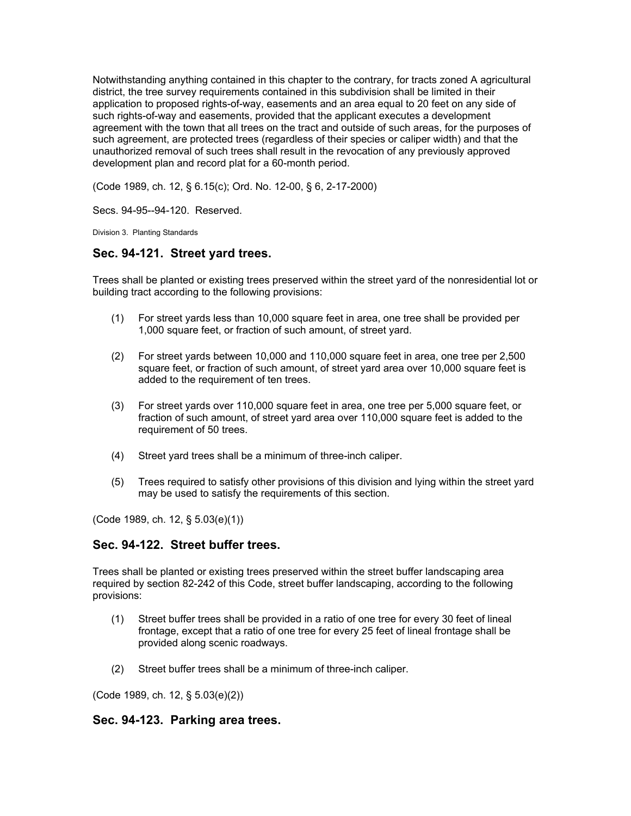Notwithstanding anything contained in this chapter to the contrary, for tracts zoned A agricultural district, the tree survey requirements contained in this subdivision shall be limited in their application to proposed rights-of-way, easements and an area equal to 20 feet on any side of such rights-of-way and easements, provided that the applicant executes a development agreement with the town that all trees on the tract and outside of such areas, for the purposes of such agreement, are protected trees (regardless of their species or caliper width) and that the unauthorized removal of such trees shall result in the revocation of any previously approved development plan and record plat for a 60-month period.

(Code 1989, ch. 12, § 6.15(c); Ord. No. 12-00, § 6, 2-17-2000)

Secs. 94-95--94-120. Reserved.

Division 3. Planting Standards

### **Sec. 94-121. Street yard trees.**

Trees shall be planted or existing trees preserved within the street yard of the nonresidential lot or building tract according to the following provisions:

- (1) For street yards less than 10,000 square feet in area, one tree shall be provided per 1,000 square feet, or fraction of such amount, of street yard.
- (2) For street yards between 10,000 and 110,000 square feet in area, one tree per 2,500 square feet, or fraction of such amount, of street yard area over 10,000 square feet is added to the requirement of ten trees.
- (3) For street yards over 110,000 square feet in area, one tree per 5,000 square feet, or fraction of such amount, of street yard area over 110,000 square feet is added to the requirement of 50 trees.
- (4) Street yard trees shall be a minimum of three-inch caliper.
- (5) Trees required to satisfy other provisions of this division and lying within the street yard may be used to satisfy the requirements of this section.

(Code 1989, ch. 12, § 5.03(e)(1))

## **Sec. 94-122. Street buffer trees.**

Trees shall be planted or existing trees preserved within the street buffer landscaping area required by section 82-242 of this Code, street buffer landscaping, according to the following provisions:

- (1) Street buffer trees shall be provided in a ratio of one tree for every 30 feet of lineal frontage, except that a ratio of one tree for every 25 feet of lineal frontage shall be provided along scenic roadways.
- (2) Street buffer trees shall be a minimum of three-inch caliper.

(Code 1989, ch. 12, § 5.03(e)(2))

#### **Sec. 94-123. Parking area trees.**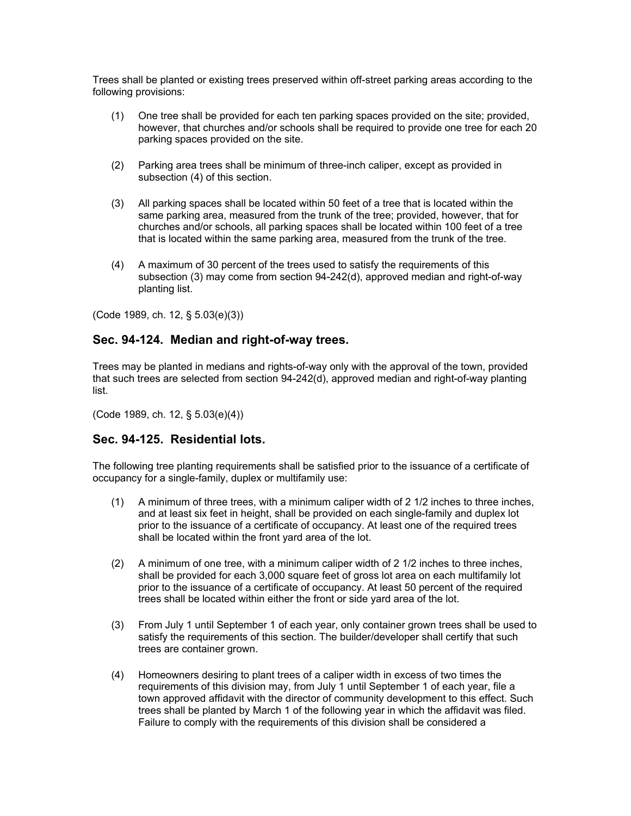Trees shall be planted or existing trees preserved within off-street parking areas according to the following provisions:

- (1) One tree shall be provided for each ten parking spaces provided on the site; provided, however, that churches and/or schools shall be required to provide one tree for each 20 parking spaces provided on the site.
- (2) Parking area trees shall be minimum of three-inch caliper, except as provided in subsection (4) of this section.
- (3) All parking spaces shall be located within 50 feet of a tree that is located within the same parking area, measured from the trunk of the tree; provided, however, that for churches and/or schools, all parking spaces shall be located within 100 feet of a tree that is located within the same parking area, measured from the trunk of the tree.
- (4) A maximum of 30 percent of the trees used to satisfy the requirements of this subsection (3) may come from section 94-242(d), approved median and right-of-way planting list.

(Code 1989, ch. 12, § 5.03(e)(3))

## **Sec. 94-124. Median and right-of-way trees.**

Trees may be planted in medians and rights-of-way only with the approval of the town, provided that such trees are selected from section 94-242(d), approved median and right-of-way planting list.

(Code 1989, ch. 12, § 5.03(e)(4))

### **Sec. 94-125. Residential lots.**

The following tree planting requirements shall be satisfied prior to the issuance of a certificate of occupancy for a single-family, duplex or multifamily use:

- (1) A minimum of three trees, with a minimum caliper width of 2 1/2 inches to three inches, and at least six feet in height, shall be provided on each single-family and duplex lot prior to the issuance of a certificate of occupancy. At least one of the required trees shall be located within the front yard area of the lot.
- (2) A minimum of one tree, with a minimum caliper width of 2 1/2 inches to three inches, shall be provided for each 3,000 square feet of gross lot area on each multifamily lot prior to the issuance of a certificate of occupancy. At least 50 percent of the required trees shall be located within either the front or side yard area of the lot.
- (3) From July 1 until September 1 of each year, only container grown trees shall be used to satisfy the requirements of this section. The builder/developer shall certify that such trees are container grown.
- (4) Homeowners desiring to plant trees of a caliper width in excess of two times the requirements of this division may, from July 1 until September 1 of each year, file a town approved affidavit with the director of community development to this effect. Such trees shall be planted by March 1 of the following year in which the affidavit was filed. Failure to comply with the requirements of this division shall be considered a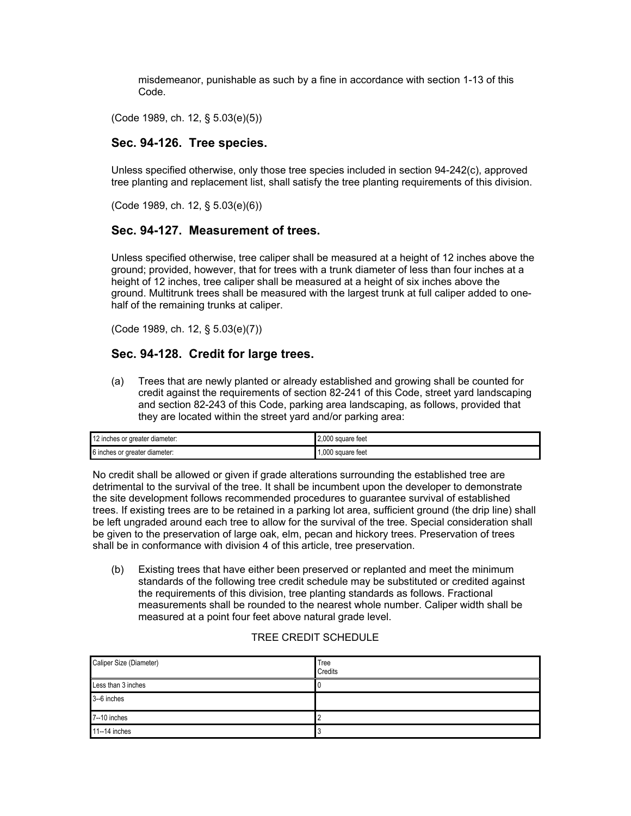misdemeanor, punishable as such by a fine in accordance with section 1-13 of this Code.

(Code 1989, ch. 12, § 5.03(e)(5))

## **Sec. 94-126. Tree species.**

Unless specified otherwise, only those tree species included in section 94-242(c), approved tree planting and replacement list, shall satisfy the tree planting requirements of this division.

(Code 1989, ch. 12, § 5.03(e)(6))

#### **Sec. 94-127. Measurement of trees.**

Unless specified otherwise, tree caliper shall be measured at a height of 12 inches above the ground; provided, however, that for trees with a trunk diameter of less than four inches at a height of 12 inches, tree caliper shall be measured at a height of six inches above the ground. Multitrunk trees shall be measured with the largest trunk at full caliper added to onehalf of the remaining trunks at caliper.

(Code 1989, ch. 12, § 5.03(e)(7))

### **Sec. 94-128. Credit for large trees.**

(a) Trees that are newly planted or already established and growing shall be counted for credit against the requirements of section 82-241 of this Code, street yard landscaping and section 82-243 of this Code, parking area landscaping, as follows, provided that they are located within the street yard and/or parking area:

| 12 inches or greater diameter: | 2.000 square feet |
|--------------------------------|-------------------|
| 6 inches or greater diameter:  | .000 square feet  |

No credit shall be allowed or given if grade alterations surrounding the established tree are detrimental to the survival of the tree. It shall be incumbent upon the developer to demonstrate the site development follows recommended procedures to guarantee survival of established trees. If existing trees are to be retained in a parking lot area, sufficient ground (the drip line) shall be left ungraded around each tree to allow for the survival of the tree. Special consideration shall be given to the preservation of large oak, elm, pecan and hickory trees. Preservation of trees shall be in conformance with division 4 of this article, tree preservation.

(b) Existing trees that have either been preserved or replanted and meet the minimum standards of the following tree credit schedule may be substituted or credited against the requirements of this division, tree planting standards as follows. Fractional measurements shall be rounded to the nearest whole number. Caliper width shall be measured at a point four feet above natural grade level.

#### TREE CREDIT SCHEDULE

| Caliper Size (Diameter) | Tree<br>Credits |
|-------------------------|-----------------|
| Less than 3 inches      | u               |
| 3-6 inches              |                 |
| 7--10 inches            |                 |
| 11--14 inches           | u               |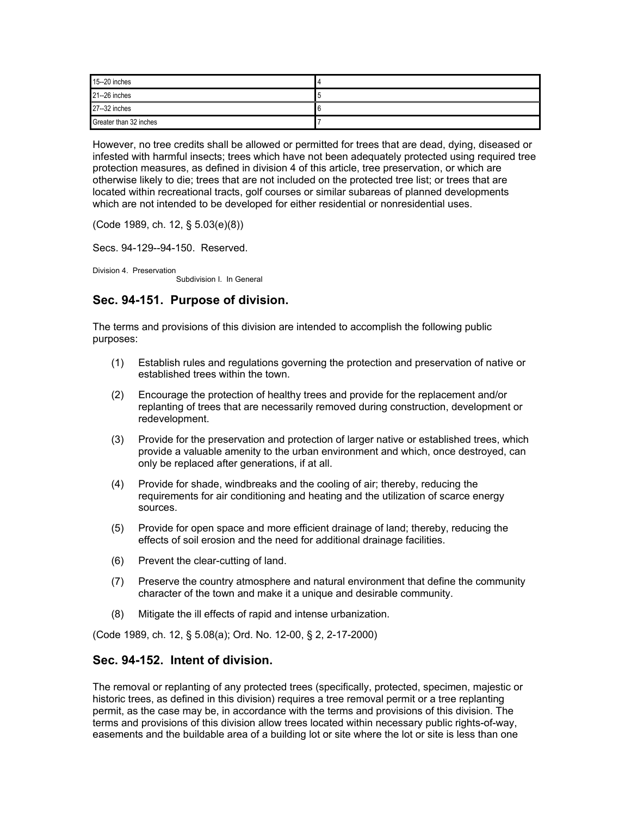| 15--20 inches          |  |
|------------------------|--|
| 21--26 inches          |  |
| 27--32 inches          |  |
| Greater than 32 inches |  |

However, no tree credits shall be allowed or permitted for trees that are dead, dying, diseased or infested with harmful insects; trees which have not been adequately protected using required tree protection measures, as defined in division 4 of this article, tree preservation, or which are otherwise likely to die; trees that are not included on the protected tree list; or trees that are located within recreational tracts, golf courses or similar subareas of planned developments which are not intended to be developed for either residential or nonresidential uses.

(Code 1989, ch. 12, § 5.03(e)(8))

Secs. 94-129--94-150. Reserved.

Division 4. Preservation Subdivision I. In General

### **Sec. 94-151. Purpose of division.**

The terms and provisions of this division are intended to accomplish the following public purposes:

- (1) Establish rules and regulations governing the protection and preservation of native or established trees within the town.
- (2) Encourage the protection of healthy trees and provide for the replacement and/or replanting of trees that are necessarily removed during construction, development or redevelopment.
- (3) Provide for the preservation and protection of larger native or established trees, which provide a valuable amenity to the urban environment and which, once destroyed, can only be replaced after generations, if at all.
- (4) Provide for shade, windbreaks and the cooling of air; thereby, reducing the requirements for air conditioning and heating and the utilization of scarce energy sources.
- (5) Provide for open space and more efficient drainage of land; thereby, reducing the effects of soil erosion and the need for additional drainage facilities.
- (6) Prevent the clear-cutting of land.
- (7) Preserve the country atmosphere and natural environment that define the community character of the town and make it a unique and desirable community.
- (8) Mitigate the ill effects of rapid and intense urbanization.

(Code 1989, ch. 12, § 5.08(a); Ord. No. 12-00, § 2, 2-17-2000)

#### **Sec. 94-152. Intent of division.**

The removal or replanting of any protected trees (specifically, protected, specimen, majestic or historic trees, as defined in this division) requires a tree removal permit or a tree replanting permit, as the case may be, in accordance with the terms and provisions of this division. The terms and provisions of this division allow trees located within necessary public rights-of-way, easements and the buildable area of a building lot or site where the lot or site is less than one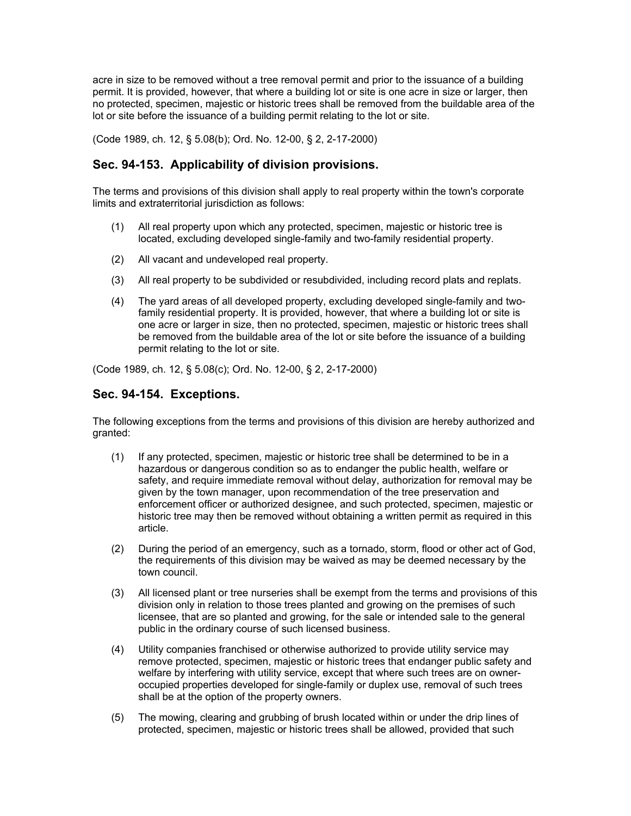acre in size to be removed without a tree removal permit and prior to the issuance of a building permit. It is provided, however, that where a building lot or site is one acre in size or larger, then no protected, specimen, majestic or historic trees shall be removed from the buildable area of the lot or site before the issuance of a building permit relating to the lot or site.

(Code 1989, ch. 12, § 5.08(b); Ord. No. 12-00, § 2, 2-17-2000)

## **Sec. 94-153. Applicability of division provisions.**

The terms and provisions of this division shall apply to real property within the town's corporate limits and extraterritorial jurisdiction as follows:

- (1) All real property upon which any protected, specimen, majestic or historic tree is located, excluding developed single-family and two-family residential property.
- (2) All vacant and undeveloped real property.
- (3) All real property to be subdivided or resubdivided, including record plats and replats.
- (4) The yard areas of all developed property, excluding developed single-family and twofamily residential property. It is provided, however, that where a building lot or site is one acre or larger in size, then no protected, specimen, majestic or historic trees shall be removed from the buildable area of the lot or site before the issuance of a building permit relating to the lot or site.

(Code 1989, ch. 12, § 5.08(c); Ord. No. 12-00, § 2, 2-17-2000)

## **Sec. 94-154. Exceptions.**

The following exceptions from the terms and provisions of this division are hereby authorized and granted:

- (1) If any protected, specimen, majestic or historic tree shall be determined to be in a hazardous or dangerous condition so as to endanger the public health, welfare or safety, and require immediate removal without delay, authorization for removal may be given by the town manager, upon recommendation of the tree preservation and enforcement officer or authorized designee, and such protected, specimen, majestic or historic tree may then be removed without obtaining a written permit as required in this article.
- (2) During the period of an emergency, such as a tornado, storm, flood or other act of God, the requirements of this division may be waived as may be deemed necessary by the town council.
- (3) All licensed plant or tree nurseries shall be exempt from the terms and provisions of this division only in relation to those trees planted and growing on the premises of such licensee, that are so planted and growing, for the sale or intended sale to the general public in the ordinary course of such licensed business.
- (4) Utility companies franchised or otherwise authorized to provide utility service may remove protected, specimen, majestic or historic trees that endanger public safety and welfare by interfering with utility service, except that where such trees are on owneroccupied properties developed for single-family or duplex use, removal of such trees shall be at the option of the property owners.
- (5) The mowing, clearing and grubbing of brush located within or under the drip lines of protected, specimen, majestic or historic trees shall be allowed, provided that such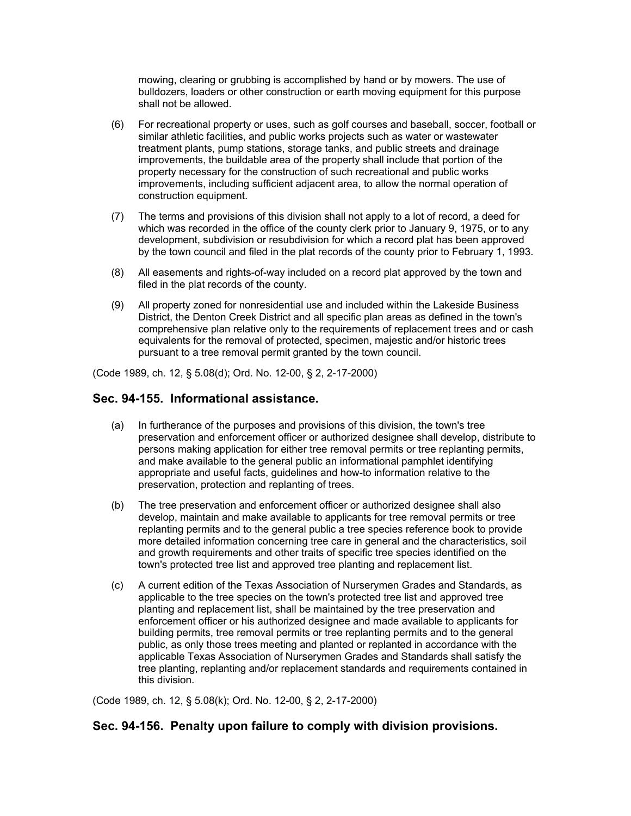mowing, clearing or grubbing is accomplished by hand or by mowers. The use of bulldozers, loaders or other construction or earth moving equipment for this purpose shall not be allowed.

- (6) For recreational property or uses, such as golf courses and baseball, soccer, football or similar athletic facilities, and public works projects such as water or wastewater treatment plants, pump stations, storage tanks, and public streets and drainage improvements, the buildable area of the property shall include that portion of the property necessary for the construction of such recreational and public works improvements, including sufficient adjacent area, to allow the normal operation of construction equipment.
- (7) The terms and provisions of this division shall not apply to a lot of record, a deed for which was recorded in the office of the county clerk prior to January 9, 1975, or to any development, subdivision or resubdivision for which a record plat has been approved by the town council and filed in the plat records of the county prior to February 1, 1993.
- (8) All easements and rights-of-way included on a record plat approved by the town and filed in the plat records of the county.
- (9) All property zoned for nonresidential use and included within the Lakeside Business District, the Denton Creek District and all specific plan areas as defined in the town's comprehensive plan relative only to the requirements of replacement trees and or cash equivalents for the removal of protected, specimen, majestic and/or historic trees pursuant to a tree removal permit granted by the town council.

(Code 1989, ch. 12, § 5.08(d); Ord. No. 12-00, § 2, 2-17-2000)

### **Sec. 94-155. Informational assistance.**

- (a) In furtherance of the purposes and provisions of this division, the town's tree preservation and enforcement officer or authorized designee shall develop, distribute to persons making application for either tree removal permits or tree replanting permits, and make available to the general public an informational pamphlet identifying appropriate and useful facts, guidelines and how-to information relative to the preservation, protection and replanting of trees.
- (b) The tree preservation and enforcement officer or authorized designee shall also develop, maintain and make available to applicants for tree removal permits or tree replanting permits and to the general public a tree species reference book to provide more detailed information concerning tree care in general and the characteristics, soil and growth requirements and other traits of specific tree species identified on the town's protected tree list and approved tree planting and replacement list.
- (c) A current edition of the Texas Association of Nurserymen Grades and Standards, as applicable to the tree species on the town's protected tree list and approved tree planting and replacement list, shall be maintained by the tree preservation and enforcement officer or his authorized designee and made available to applicants for building permits, tree removal permits or tree replanting permits and to the general public, as only those trees meeting and planted or replanted in accordance with the applicable Texas Association of Nurserymen Grades and Standards shall satisfy the tree planting, replanting and/or replacement standards and requirements contained in this division.

(Code 1989, ch. 12, § 5.08(k); Ord. No. 12-00, § 2, 2-17-2000)

# **Sec. 94-156. Penalty upon failure to comply with division provisions.**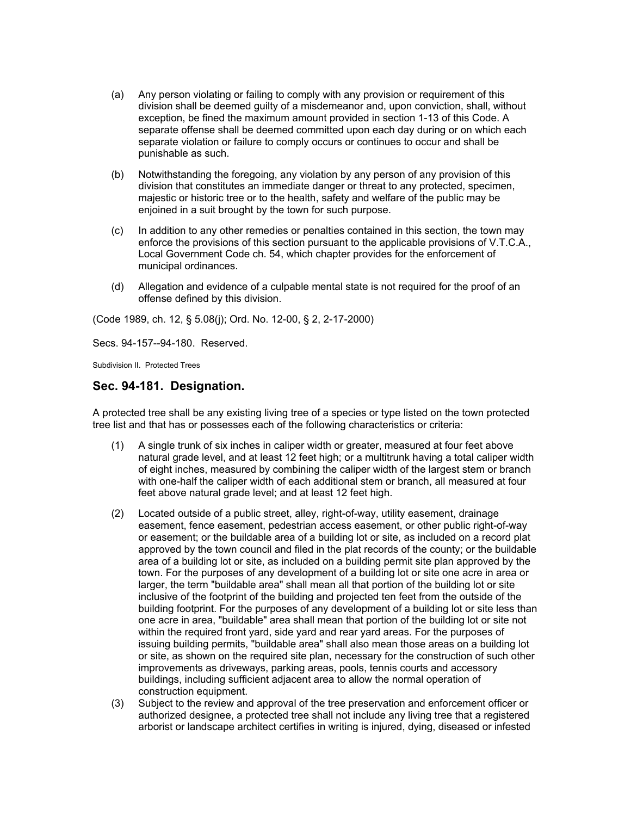- (a) Any person violating or failing to comply with any provision or requirement of this division shall be deemed guilty of a misdemeanor and, upon conviction, shall, without exception, be fined the maximum amount provided in section 1-13 of this Code. A separate offense shall be deemed committed upon each day during or on which each separate violation or failure to comply occurs or continues to occur and shall be punishable as such.
- (b) Notwithstanding the foregoing, any violation by any person of any provision of this division that constitutes an immediate danger or threat to any protected, specimen, majestic or historic tree or to the health, safety and welfare of the public may be enjoined in a suit brought by the town for such purpose.
- (c) In addition to any other remedies or penalties contained in this section, the town may enforce the provisions of this section pursuant to the applicable provisions of V.T.C.A., Local Government Code ch. 54, which chapter provides for the enforcement of municipal ordinances.
- (d) Allegation and evidence of a culpable mental state is not required for the proof of an offense defined by this division.

(Code 1989, ch. 12, § 5.08(j); Ord. No. 12-00, § 2, 2-17-2000)

Secs. 94-157--94-180. Reserved.

Subdivision II. Protected Trees

#### **Sec. 94-181. Designation.**

A protected tree shall be any existing living tree of a species or type listed on the town protected tree list and that has or possesses each of the following characteristics or criteria:

- (1) A single trunk of six inches in caliper width or greater, measured at four feet above natural grade level, and at least 12 feet high; or a multitrunk having a total caliper width of eight inches, measured by combining the caliper width of the largest stem or branch with one-half the caliper width of each additional stem or branch, all measured at four feet above natural grade level; and at least 12 feet high.
- (2) Located outside of a public street, alley, right-of-way, utility easement, drainage easement, fence easement, pedestrian access easement, or other public right-of-way or easement; or the buildable area of a building lot or site, as included on a record plat approved by the town council and filed in the plat records of the county; or the buildable area of a building lot or site, as included on a building permit site plan approved by the town. For the purposes of any development of a building lot or site one acre in area or larger, the term "buildable area" shall mean all that portion of the building lot or site inclusive of the footprint of the building and projected ten feet from the outside of the building footprint. For the purposes of any development of a building lot or site less than one acre in area, "buildable" area shall mean that portion of the building lot or site not within the required front yard, side yard and rear yard areas. For the purposes of issuing building permits, "buildable area" shall also mean those areas on a building lot or site, as shown on the required site plan, necessary for the construction of such other improvements as driveways, parking areas, pools, tennis courts and accessory buildings, including sufficient adjacent area to allow the normal operation of construction equipment.
- (3) Subject to the review and approval of the tree preservation and enforcement officer or authorized designee, a protected tree shall not include any living tree that a registered arborist or landscape architect certifies in writing is injured, dying, diseased or infested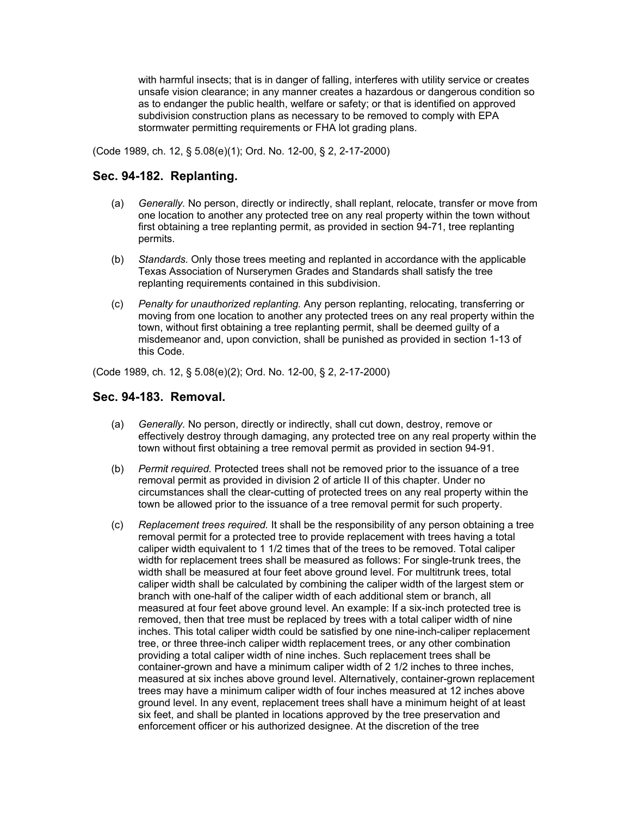with harmful insects; that is in danger of falling, interferes with utility service or creates unsafe vision clearance; in any manner creates a hazardous or dangerous condition so as to endanger the public health, welfare or safety; or that is identified on approved subdivision construction plans as necessary to be removed to comply with EPA stormwater permitting requirements or FHA lot grading plans.

(Code 1989, ch. 12, § 5.08(e)(1); Ord. No. 12-00, § 2, 2-17-2000)

# **Sec. 94-182. Replanting.**

- (a) *Generally.* No person, directly or indirectly, shall replant, relocate, transfer or move from one location to another any protected tree on any real property within the town without first obtaining a tree replanting permit, as provided in section 94-71, tree replanting permits.
- (b) *Standards.* Only those trees meeting and replanted in accordance with the applicable Texas Association of Nurserymen Grades and Standards shall satisfy the tree replanting requirements contained in this subdivision.
- (c) *Penalty for unauthorized replanting.* Any person replanting, relocating, transferring or moving from one location to another any protected trees on any real property within the town, without first obtaining a tree replanting permit, shall be deemed guilty of a misdemeanor and, upon conviction, shall be punished as provided in section 1-13 of this Code.

(Code 1989, ch. 12, § 5.08(e)(2); Ord. No. 12-00, § 2, 2-17-2000)

### **Sec. 94-183. Removal.**

- (a) *Generally.* No person, directly or indirectly, shall cut down, destroy, remove or effectively destroy through damaging, any protected tree on any real property within the town without first obtaining a tree removal permit as provided in section 94-91.
- (b) *Permit required.* Protected trees shall not be removed prior to the issuance of a tree removal permit as provided in division 2 of article II of this chapter. Under no circumstances shall the clear-cutting of protected trees on any real property within the town be allowed prior to the issuance of a tree removal permit for such property.
- (c) *Replacement trees required.* It shall be the responsibility of any person obtaining a tree removal permit for a protected tree to provide replacement with trees having a total caliper width equivalent to 1 1/2 times that of the trees to be removed. Total caliper width for replacement trees shall be measured as follows: For single-trunk trees, the width shall be measured at four feet above ground level. For multitrunk trees, total caliper width shall be calculated by combining the caliper width of the largest stem or branch with one-half of the caliper width of each additional stem or branch, all measured at four feet above ground level. An example: If a six-inch protected tree is removed, then that tree must be replaced by trees with a total caliper width of nine inches. This total caliper width could be satisfied by one nine-inch-caliper replacement tree, or three three-inch caliper width replacement trees, or any other combination providing a total caliper width of nine inches. Such replacement trees shall be container-grown and have a minimum caliper width of 2 1/2 inches to three inches, measured at six inches above ground level. Alternatively, container-grown replacement trees may have a minimum caliper width of four inches measured at 12 inches above ground level. In any event, replacement trees shall have a minimum height of at least six feet, and shall be planted in locations approved by the tree preservation and enforcement officer or his authorized designee. At the discretion of the tree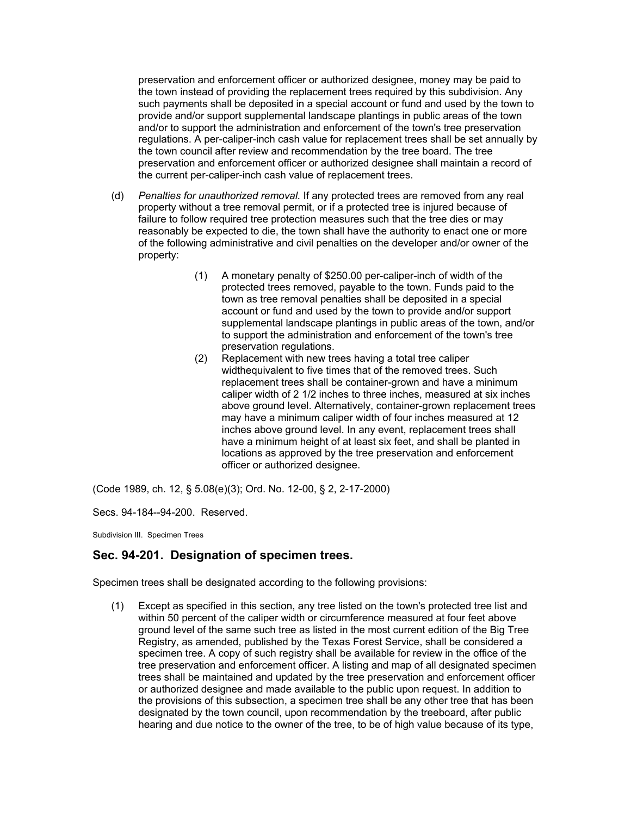preservation and enforcement officer or authorized designee, money may be paid to the town instead of providing the replacement trees required by this subdivision. Any such payments shall be deposited in a special account or fund and used by the town to provide and/or support supplemental landscape plantings in public areas of the town and/or to support the administration and enforcement of the town's tree preservation regulations. A per-caliper-inch cash value for replacement trees shall be set annually by the town council after review and recommendation by the tree board. The tree preservation and enforcement officer or authorized designee shall maintain a record of the current per-caliper-inch cash value of replacement trees.

- (d) *Penalties for unauthorized removal.* If any protected trees are removed from any real property without a tree removal permit, or if a protected tree is injured because of failure to follow required tree protection measures such that the tree dies or may reasonably be expected to die, the town shall have the authority to enact one or more of the following administrative and civil penalties on the developer and/or owner of the property:
	- (1) A monetary penalty of \$250.00 per-caliper-inch of width of the protected trees removed, payable to the town. Funds paid to the town as tree removal penalties shall be deposited in a special account or fund and used by the town to provide and/or support supplemental landscape plantings in public areas of the town, and/or to support the administration and enforcement of the town's tree preservation regulations.
	- (2) Replacement with new trees having a total tree caliper widthequivalent to five times that of the removed trees. Such replacement trees shall be container-grown and have a minimum caliper width of 2 1/2 inches to three inches, measured at six inches above ground level. Alternatively, container-grown replacement trees may have a minimum caliper width of four inches measured at 12 inches above ground level. In any event, replacement trees shall have a minimum height of at least six feet, and shall be planted in locations as approved by the tree preservation and enforcement officer or authorized designee.

(Code 1989, ch. 12, § 5.08(e)(3); Ord. No. 12-00, § 2, 2-17-2000)

Secs. 94-184--94-200. Reserved.

Subdivision III. Specimen Trees

# **Sec. 94-201. Designation of specimen trees.**

Specimen trees shall be designated according to the following provisions:

(1) Except as specified in this section, any tree listed on the town's protected tree list and within 50 percent of the caliper width or circumference measured at four feet above ground level of the same such tree as listed in the most current edition of the Big Tree Registry, as amended, published by the Texas Forest Service, shall be considered a specimen tree. A copy of such registry shall be available for review in the office of the tree preservation and enforcement officer. A listing and map of all designated specimen trees shall be maintained and updated by the tree preservation and enforcement officer or authorized designee and made available to the public upon request. In addition to the provisions of this subsection, a specimen tree shall be any other tree that has been designated by the town council, upon recommendation by the treeboard, after public hearing and due notice to the owner of the tree, to be of high value because of its type,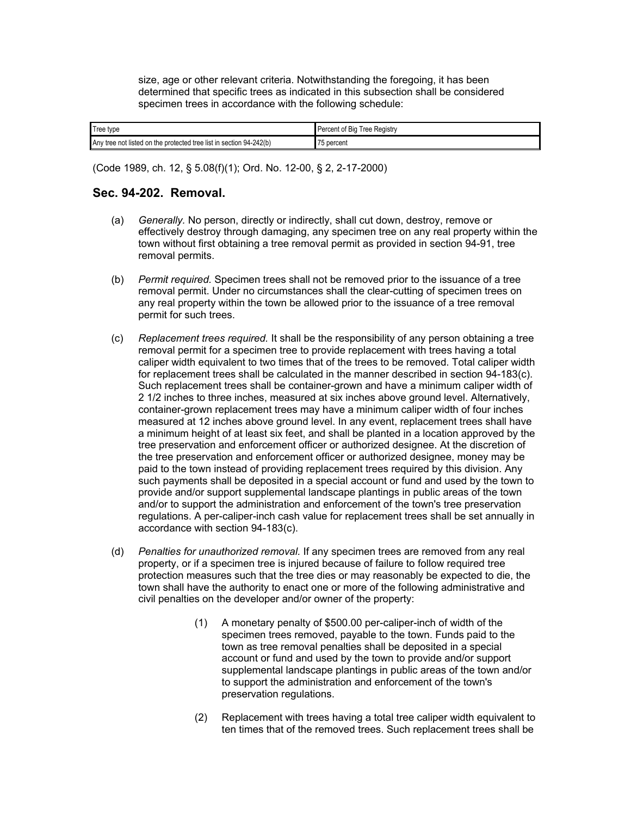size, age or other relevant criteria. Notwithstanding the foregoing, it has been determined that specific trees as indicated in this subsection shall be considered specimen trees in accordance with the following schedule:

| Tree type                                                           | Percent of Big Tree Registry |
|---------------------------------------------------------------------|------------------------------|
| Any tree not listed on the protected tree list in section 94-242(b) | 75 percent                   |

(Code 1989, ch. 12, § 5.08(f)(1); Ord. No. 12-00, § 2, 2-17-2000)

## **Sec. 94-202. Removal.**

- (a) *Generally.* No person, directly or indirectly, shall cut down, destroy, remove or effectively destroy through damaging, any specimen tree on any real property within the town without first obtaining a tree removal permit as provided in section 94-91, tree removal permits.
- (b) *Permit required.* Specimen trees shall not be removed prior to the issuance of a tree removal permit. Under no circumstances shall the clear-cutting of specimen trees on any real property within the town be allowed prior to the issuance of a tree removal permit for such trees.
- (c) *Replacement trees required.* It shall be the responsibility of any person obtaining a tree removal permit for a specimen tree to provide replacement with trees having a total caliper width equivalent to two times that of the trees to be removed. Total caliper width for replacement trees shall be calculated in the manner described in section 94-183(c). Such replacement trees shall be container-grown and have a minimum caliper width of 2 1/2 inches to three inches, measured at six inches above ground level. Alternatively, container-grown replacement trees may have a minimum caliper width of four inches measured at 12 inches above ground level. In any event, replacement trees shall have a minimum height of at least six feet, and shall be planted in a location approved by the tree preservation and enforcement officer or authorized designee. At the discretion of the tree preservation and enforcement officer or authorized designee, money may be paid to the town instead of providing replacement trees required by this division. Any such payments shall be deposited in a special account or fund and used by the town to provide and/or support supplemental landscape plantings in public areas of the town and/or to support the administration and enforcement of the town's tree preservation regulations. A per-caliper-inch cash value for replacement trees shall be set annually in accordance with section 94-183(c).
- (d) *Penalties for unauthorized removal.* If any specimen trees are removed from any real property, or if a specimen tree is injured because of failure to follow required tree protection measures such that the tree dies or may reasonably be expected to die, the town shall have the authority to enact one or more of the following administrative and civil penalties on the developer and/or owner of the property:
	- (1) A monetary penalty of \$500.00 per-caliper-inch of width of the specimen trees removed, payable to the town. Funds paid to the town as tree removal penalties shall be deposited in a special account or fund and used by the town to provide and/or support supplemental landscape plantings in public areas of the town and/or to support the administration and enforcement of the town's preservation regulations.
	- (2) Replacement with trees having a total tree caliper width equivalent to ten times that of the removed trees. Such replacement trees shall be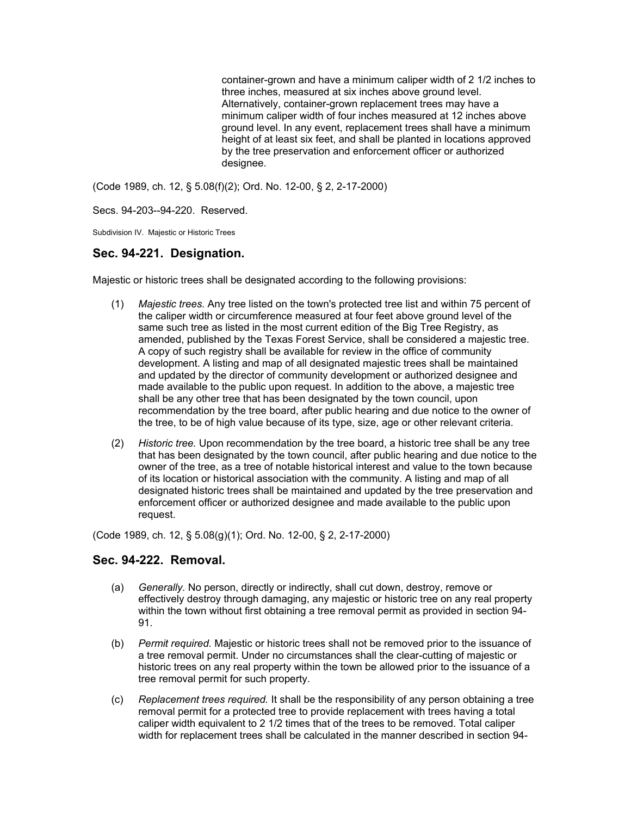container-grown and have a minimum caliper width of 2 1/2 inches to three inches, measured at six inches above ground level. Alternatively, container-grown replacement trees may have a minimum caliper width of four inches measured at 12 inches above ground level. In any event, replacement trees shall have a minimum height of at least six feet, and shall be planted in locations approved by the tree preservation and enforcement officer or authorized designee.

(Code 1989, ch. 12, § 5.08(f)(2); Ord. No. 12-00, § 2, 2-17-2000)

Secs. 94-203--94-220. Reserved.

Subdivision IV. Majestic or Historic Trees

## **Sec. 94-221. Designation.**

Majestic or historic trees shall be designated according to the following provisions:

- (1) *Majestic trees.* Any tree listed on the town's protected tree list and within 75 percent of the caliper width or circumference measured at four feet above ground level of the same such tree as listed in the most current edition of the Big Tree Registry, as amended, published by the Texas Forest Service, shall be considered a majestic tree. A copy of such registry shall be available for review in the office of community development. A listing and map of all designated majestic trees shall be maintained and updated by the director of community development or authorized designee and made available to the public upon request. In addition to the above, a majestic tree shall be any other tree that has been designated by the town council, upon recommendation by the tree board, after public hearing and due notice to the owner of the tree, to be of high value because of its type, size, age or other relevant criteria.
- (2) *Historic tree.* Upon recommendation by the tree board, a historic tree shall be any tree that has been designated by the town council, after public hearing and due notice to the owner of the tree, as a tree of notable historical interest and value to the town because of its location or historical association with the community. A listing and map of all designated historic trees shall be maintained and updated by the tree preservation and enforcement officer or authorized designee and made available to the public upon request.

(Code 1989, ch. 12, § 5.08(g)(1); Ord. No. 12-00, § 2, 2-17-2000)

### **Sec. 94-222. Removal.**

- (a) *Generally.* No person, directly or indirectly, shall cut down, destroy, remove or effectively destroy through damaging, any majestic or historic tree on any real property within the town without first obtaining a tree removal permit as provided in section 94- 91.
- (b) *Permit required.* Majestic or historic trees shall not be removed prior to the issuance of a tree removal permit. Under no circumstances shall the clear-cutting of majestic or historic trees on any real property within the town be allowed prior to the issuance of a tree removal permit for such property.
- (c) *Replacement trees required.* It shall be the responsibility of any person obtaining a tree removal permit for a protected tree to provide replacement with trees having a total caliper width equivalent to 2 1/2 times that of the trees to be removed. Total caliper width for replacement trees shall be calculated in the manner described in section 94-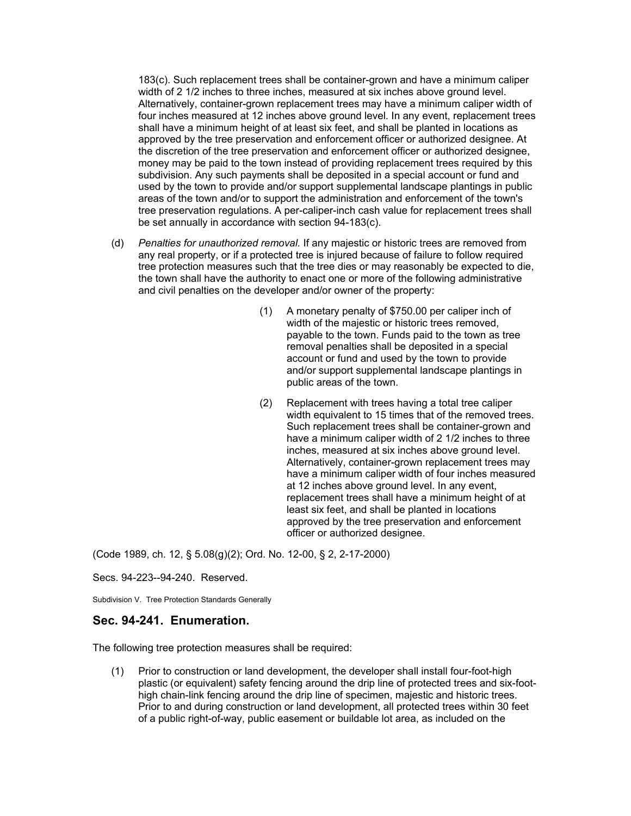183(c). Such replacement trees shall be container-grown and have a minimum caliper width of 2 1/2 inches to three inches, measured at six inches above ground level. Alternatively, container-grown replacement trees may have a minimum caliper width of four inches measured at 12 inches above ground level. In any event, replacement trees shall have a minimum height of at least six feet, and shall be planted in locations as approved by the tree preservation and enforcement officer or authorized designee. At the discretion of the tree preservation and enforcement officer or authorized designee, money may be paid to the town instead of providing replacement trees required by this subdivision. Any such payments shall be deposited in a special account or fund and used by the town to provide and/or support supplemental landscape plantings in public areas of the town and/or to support the administration and enforcement of the town's tree preservation regulations. A per-caliper-inch cash value for replacement trees shall be set annually in accordance with section 94-183(c).

- (d) *Penalties for unauthorized removal.* If any majestic or historic trees are removed from any real property, or if a protected tree is injured because of failure to follow required tree protection measures such that the tree dies or may reasonably be expected to die, the town shall have the authority to enact one or more of the following administrative and civil penalties on the developer and/or owner of the property:
	- (1) A monetary penalty of \$750.00 per caliper inch of width of the majestic or historic trees removed, payable to the town. Funds paid to the town as tree removal penalties shall be deposited in a special account or fund and used by the town to provide and/or support supplemental landscape plantings in public areas of the town.
	- (2) Replacement with trees having a total tree caliper width equivalent to 15 times that of the removed trees. Such replacement trees shall be container-grown and have a minimum caliper width of 2 1/2 inches to three inches, measured at six inches above ground level. Alternatively, container-grown replacement trees may have a minimum caliper width of four inches measured at 12 inches above ground level. In any event, replacement trees shall have a minimum height of at least six feet, and shall be planted in locations approved by the tree preservation and enforcement officer or authorized designee.

(Code 1989, ch. 12, § 5.08(g)(2); Ord. No. 12-00, § 2, 2-17-2000)

Secs. 94-223--94-240. Reserved.

Subdivision V. Tree Protection Standards Generally

#### **Sec. 94-241. Enumeration.**

The following tree protection measures shall be required:

(1) Prior to construction or land development, the developer shall install four-foot-high plastic (or equivalent) safety fencing around the drip line of protected trees and six-foothigh chain-link fencing around the drip line of specimen, majestic and historic trees. Prior to and during construction or land development, all protected trees within 30 feet of a public right-of-way, public easement or buildable lot area, as included on the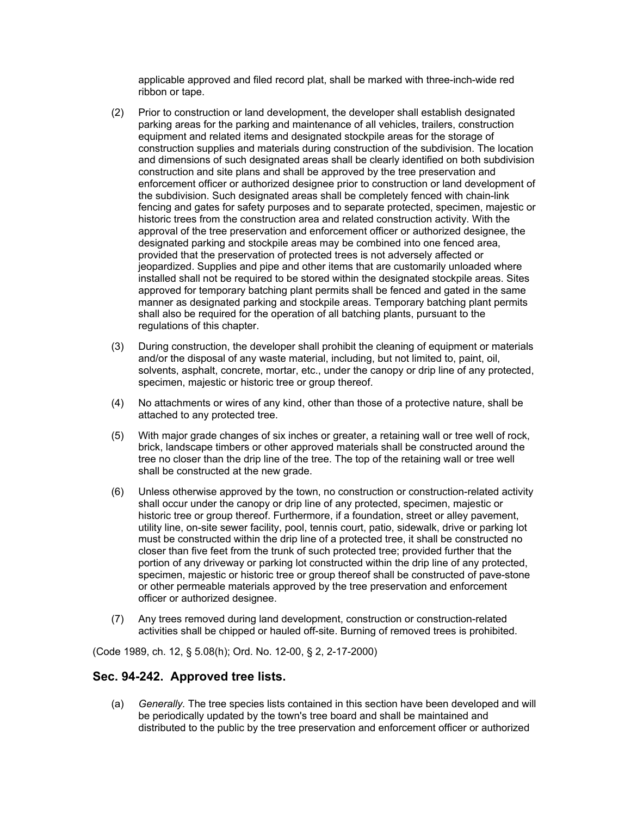applicable approved and filed record plat, shall be marked with three-inch-wide red ribbon or tape.

- (2) Prior to construction or land development, the developer shall establish designated parking areas for the parking and maintenance of all vehicles, trailers, construction equipment and related items and designated stockpile areas for the storage of construction supplies and materials during construction of the subdivision. The location and dimensions of such designated areas shall be clearly identified on both subdivision construction and site plans and shall be approved by the tree preservation and enforcement officer or authorized designee prior to construction or land development of the subdivision. Such designated areas shall be completely fenced with chain-link fencing and gates for safety purposes and to separate protected, specimen, majestic or historic trees from the construction area and related construction activity. With the approval of the tree preservation and enforcement officer or authorized designee, the designated parking and stockpile areas may be combined into one fenced area, provided that the preservation of protected trees is not adversely affected or jeopardized. Supplies and pipe and other items that are customarily unloaded where installed shall not be required to be stored within the designated stockpile areas. Sites approved for temporary batching plant permits shall be fenced and gated in the same manner as designated parking and stockpile areas. Temporary batching plant permits shall also be required for the operation of all batching plants, pursuant to the regulations of this chapter.
- (3) During construction, the developer shall prohibit the cleaning of equipment or materials and/or the disposal of any waste material, including, but not limited to, paint, oil, solvents, asphalt, concrete, mortar, etc., under the canopy or drip line of any protected, specimen, majestic or historic tree or group thereof.
- (4) No attachments or wires of any kind, other than those of a protective nature, shall be attached to any protected tree.
- (5) With major grade changes of six inches or greater, a retaining wall or tree well of rock, brick, landscape timbers or other approved materials shall be constructed around the tree no closer than the drip line of the tree. The top of the retaining wall or tree well shall be constructed at the new grade.
- (6) Unless otherwise approved by the town, no construction or construction-related activity shall occur under the canopy or drip line of any protected, specimen, majestic or historic tree or group thereof. Furthermore, if a foundation, street or alley pavement, utility line, on-site sewer facility, pool, tennis court, patio, sidewalk, drive or parking lot must be constructed within the drip line of a protected tree, it shall be constructed no closer than five feet from the trunk of such protected tree; provided further that the portion of any driveway or parking lot constructed within the drip line of any protected, specimen, majestic or historic tree or group thereof shall be constructed of pave-stone or other permeable materials approved by the tree preservation and enforcement officer or authorized designee.
- (7) Any trees removed during land development, construction or construction-related activities shall be chipped or hauled off-site. Burning of removed trees is prohibited.

(Code 1989, ch. 12, § 5.08(h); Ord. No. 12-00, § 2, 2-17-2000)

#### **Sec. 94-242. Approved tree lists.**

(a) *Generally.* The tree species lists contained in this section have been developed and will be periodically updated by the town's tree board and shall be maintained and distributed to the public by the tree preservation and enforcement officer or authorized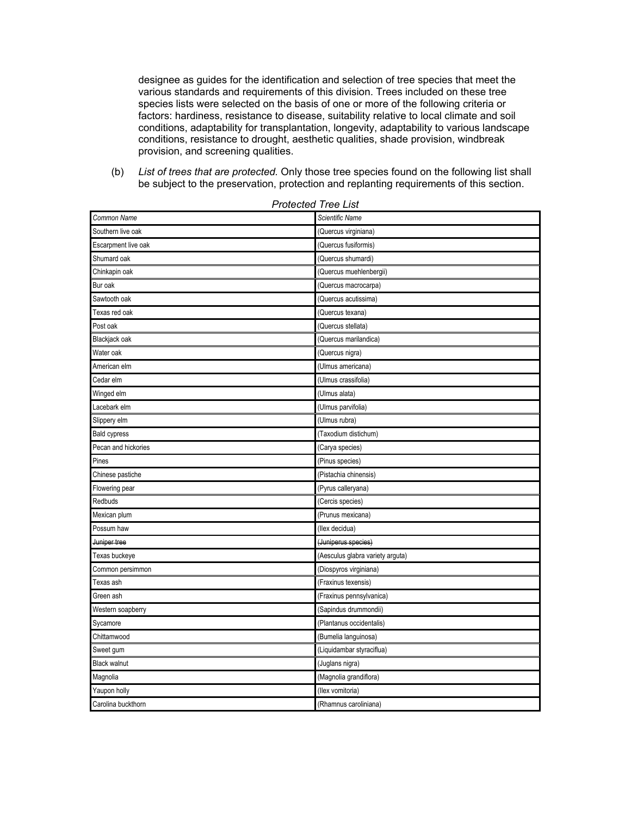designee as guides for the identification and selection of tree species that meet the various standards and requirements of this division. Trees included on these tree species lists were selected on the basis of one or more of the following criteria or factors: hardiness, resistance to disease, suitability relative to local climate and soil conditions, adaptability for transplantation, longevity, adaptability to various landscape conditions, resistance to drought, aesthetic qualities, shade provision, windbreak provision, and screening qualities.

(b) *List of trees that are protected.* Only those tree species found on the following list shall be subject to the preservation, protection and replanting requirements of this section.

| Common Name         | Scientific Name                  |
|---------------------|----------------------------------|
| Southern live oak   | (Quercus virginiana)             |
| Escarpment live oak | (Quercus fusiformis)             |
| Shumard oak         | (Quercus shumardi)               |
| Chinkapin oak       | (Quercus muehlenbergii)          |
| Bur oak             | (Quercus macrocarpa)             |
| Sawtooth oak        | (Quercus acutissima)             |
| Texas red oak       | (Quercus texana)                 |
| Post oak            | (Quercus stellata)               |
| Blackjack oak       | (Quercus marilandica)            |
| Water oak           | (Quercus nigra)                  |
| American elm        | (Ulmus americana)                |
| Cedar elm           | (Ulmus crassifolia)              |
| Winged elm          | (Ulmus alata)                    |
| Lacebark elm        | (Ulmus parvifolia)               |
| Slippery elm        | (Ulmus rubra)                    |
| <b>Bald cypress</b> | (Taxodium distichum)             |
| Pecan and hickories | (Carya species)                  |
| Pines               | (Pinus species)                  |
| Chinese pastiche    | (Pistachia chinensis)            |
| Flowering pear      | (Pyrus calleryana)               |
| Redbuds             | (Cercis species)                 |
| Mexican plum        | (Prunus mexicana)                |
| Possum haw          | (Ilex decidua)                   |
| Juniper tree        | (Juniperus species)              |
| Texas buckeye       | (Aesculus glabra variety arguta) |
| Common persimmon    | (Diospyros virginiana)           |
| Texas ash           | (Fraxinus texensis)              |
| Green ash           | (Fraxinus pennsylvanica)         |
| Western soapberry   | (Sapindus drummondii)            |
| Sycamore            | (Plantanus occidentalis)         |
| Chittamwood         | (Bumelia languinosa)             |
| Sweet gum           | (Liquidambar styraciflua)        |
| <b>Black walnut</b> | (Juglans nigra)                  |
| Magnolia            | (Magnolia grandiflora)           |
| Yaupon holly        | (Ilex vomitoria)                 |
| Carolina buckthorn  | (Rhamnus caroliniana)            |

*Protected Tree List*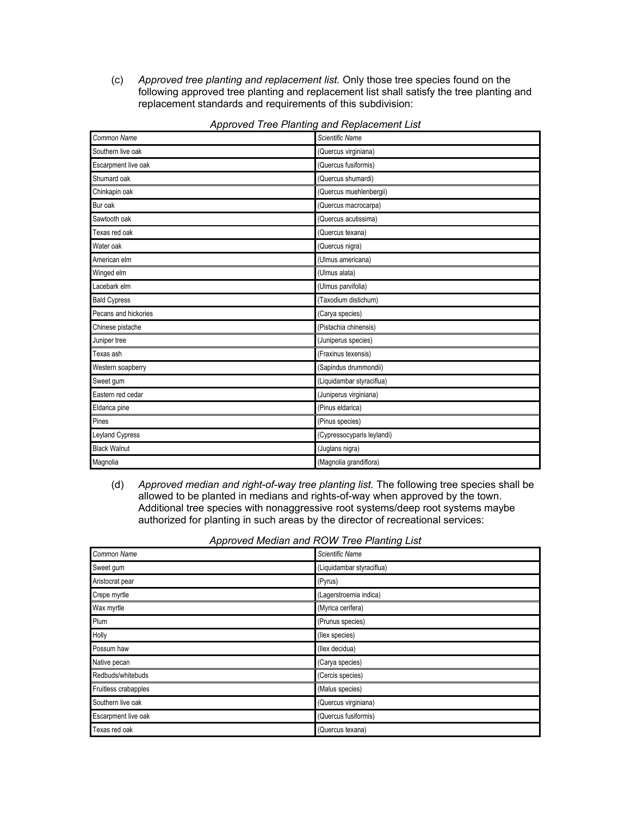(c) *Approved tree planting and replacement list.* Only those tree species found on the following approved tree planting and replacement list shall satisfy the tree planting and replacement standards and requirements of this subdivision:

| Common Name            | Scientific Name            |
|------------------------|----------------------------|
| Southern live oak      | (Quercus virginiana)       |
| Escarpment live oak    | (Quercus fusiformis)       |
| Shumard oak            | (Quercus shumardi)         |
| Chinkapin oak          | (Quercus muehlenbergii)    |
| Bur oak                | (Quercus macrocarpa)       |
| Sawtooth oak           | (Quercus acutissima)       |
| Texas red oak          | (Quercus texana)           |
| Water oak              | (Quercus nigra)            |
| American elm           | (Ulmus americana)          |
| Winged elm             | (Ulmus alata)              |
| Lacebark elm           | (Ulmus parvifolia)         |
| <b>Bald Cypress</b>    | (Taxodium distichum)       |
| Pecans and hickories   | (Carya species)            |
| Chinese pistache       | (Pistachia chinensis)      |
| Juniper tree           | (Juniperus species)        |
| Texas ash              | (Fraxinus texensis)        |
| Western soapberry      | (Sapindus drummondii)      |
| Sweet gum              | (Liquidambar styraciflua)  |
| Eastern red cedar      | (Juniperus virginiana)     |
| Eldarica pine          | (Pinus eldarica)           |
| Pines                  | (Pinus species)            |
| <b>Leyland Cypress</b> | (Cypressocyparis leylandi) |
| <b>Black Walnut</b>    | (Juglans nigra)            |
| Magnolia               | (Magnolia grandiflora)     |

*Approved Tree Planting and Replacement List* 

(d) *Approved median and right-of-way tree planting list.* The following tree species shall be allowed to be planted in medians and rights-of-way when approved by the town. Additional tree species with nonaggressive root systems/deep root systems maybe authorized for planting in such areas by the director of recreational services:

| Common Name          | Scientific Name           |
|----------------------|---------------------------|
| Sweet gum            | (Liquidambar styraciflua) |
| Aristocrat pear      | (Pyrus)                   |
| Crepe myrtle         | (Lagerstroemia indica)    |
| Wax myrtle           | (Myrica cerifera)         |
| Plum                 | (Prunus species)          |
| Holly                | (llex species)            |
| Possum haw           | (llex decidua)            |
| Native pecan         | (Carya species)           |
| Redbuds/whitebuds    | (Cercis species)          |
| Fruitless crabapples | (Malus species)           |
| Southern live oak    | (Quercus virginiana)      |
| Escarpment live oak  | (Quercus fusiformis)      |
| Texas red oak        | (Quercus texana)          |

| Approved Median and ROW Tree Planting List |  |
|--------------------------------------------|--|